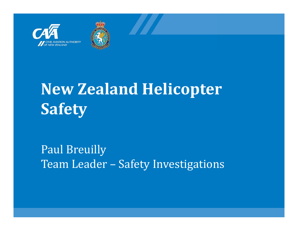



# **New Zealand Helicopter Safety**

Paul Breuilly Team Leader - Safety Investigations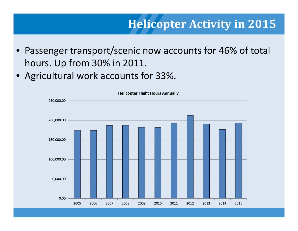#### **Helicopter Activity in 2015**

- **Slide title** hours. Up from 30% in 2011. •Passenger transport/scenic now accounts for 46% of total
- •Agricultural work accounts for 33%.

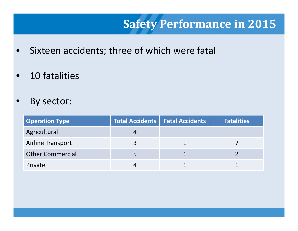## **Safety Performance in 2015**

- $\bullet$ **•** Sixteen accidents; three of which were fatal
- **Slide title**  $\bullet$ • 10 fatalities
- •By sector:

| <b>Operation Type</b>   | Total Accidents   Fatal Accidents | <b>Fatalities</b> |
|-------------------------|-----------------------------------|-------------------|
| Agricultural            |                                   |                   |
| Airline Transport       |                                   |                   |
| <b>Other Commercial</b> |                                   |                   |
| Private                 |                                   |                   |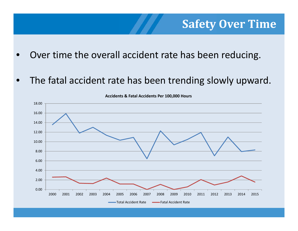#### **Safety Over Time**

- •Over time the overall accident rate has been reducing.
- •The fatal accident rate has been trending slowly upward.



**Accidents & Fatal Accidents Per 100,000 Hours**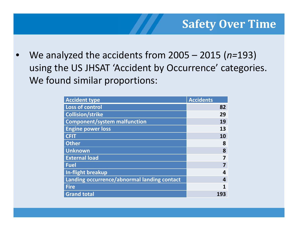using the US JHSAT 'Accident by Occurrence' categories. • We analyzed the accidents from 2005 – 2015 (*n=*193) We found similar proportions:

| <b>Accident type</b>                        | <b>Accidents</b> |
|---------------------------------------------|------------------|
| <b>Loss of control</b>                      | 82               |
| <b>Collision/strike</b>                     | 29               |
| <b>Component/system malfunction</b>         | 19               |
| <b>Engine power loss</b>                    | 13               |
| <b>CFIT</b>                                 | 10               |
| <b>Other</b>                                | 8                |
| <b>Unknown</b>                              | 8                |
| <b>External load</b>                        |                  |
| <b>Fuel</b>                                 |                  |
| In-flight breakup                           | 4                |
| Landing occurrence/abnormal landing contact |                  |
| <b>Fire</b>                                 |                  |
| <b>Grand total</b>                          | 193              |